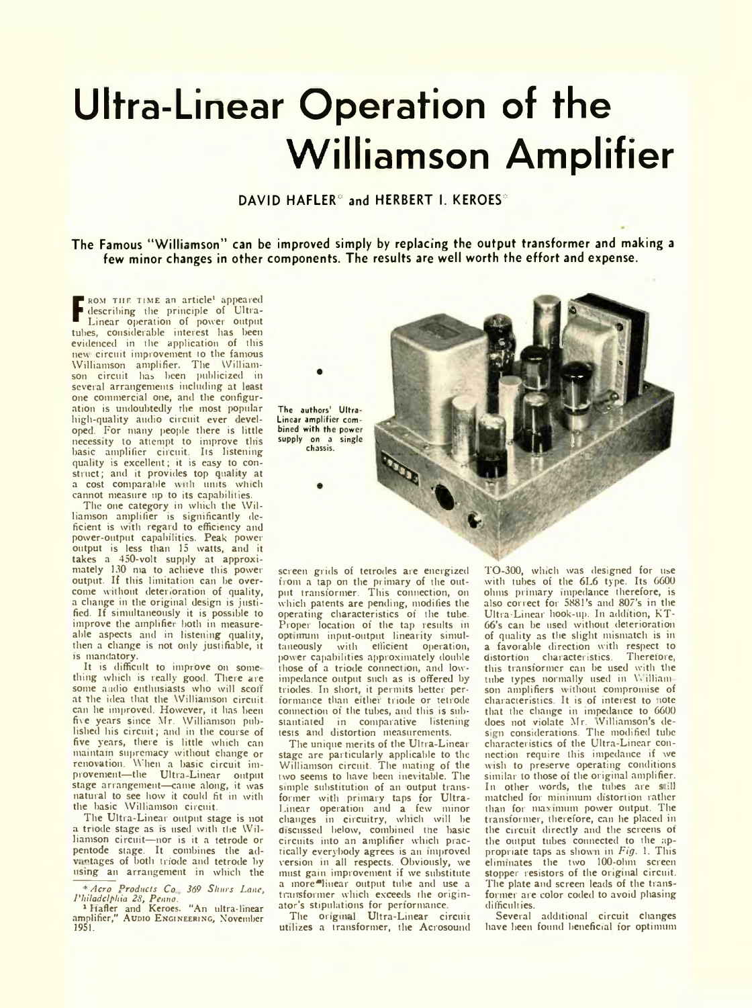## **Ultra-Linear Operation of the Williamson Amplifier**

DAVID HAFLER<sup>®</sup> and HERBERT I. KEROES<sup>®</sup>

**The Famous "Williamson" can be improved simply by replacing the output transformer and making a few minor changes in other components. The results are well worth the effort and expense.**

**F** describing the principle of Ultra-<br>Linear operation of power output ROM THE TIME an article<sup>1</sup> appeared Linear operation of power output tubes, considerable interest has been evidenced in the application of this new circuit improvement to the famous Williamson amplifier. The William-son circuit has been publicized in several arrangements including at least one commercial one, and the configuration is undoubtedly the most popular high-quality audio circuit ever developed. For many people there is little necessity to attempt to improve this basic amplifier circuit. Its listening quality is excellent; it is easy to construct; and it provides top quality at a cost comparable with units which cannot measure up to its capabilities.

The one category in which the Williamson amplifier is significantly deficient is with regard to efficiency and power-output capabilities. Peak power output is less than 15 watts, and it takes a 450-volt supply at approxi-mately 130 ma to achieve this power output. If this limitation can be overcome without deterioration of quality, a change in the original design is justified. If simultaneously it is possible to improve the amplifier both in measureable aspects and in listening quality, then a change is not only justifiable, it :s mandatory.

It is difficult to improve on some-thing which is really good. There are some audio enthusiasts who will scoff at The idea that the Williamson circuit can he improved. However, it has been five years since Mr. Williamson published his circuit; and in the course of five years, there is little which can maintain supremacy without change or renovation. When a basic circuit improvement—the Ultra Linear output stage arrangement—came along, it was natural to see how it could fit in with the basic Williamson circuit.

The Ultra-Linear output stage is not a triode stage as is used with the Williamson circuit—nor is it a tetrode or pentode stage. It combines the advantages of both triode and tetrode by using an arrangement in which the

■ *Aero Products Co 369 Sliurs Lane*,

*Philadelphia 28, Penno.*<br><sup>1</sup> Hafler and Keroes. "An ultra-linear<br>amplifier," Audio Engineering, November 1951.



screen grids of tetrodes are energized from a tap on the primary of the output transformer. This connection, on which patents are pending, modifies the operating characteristics of the tube. Proper location of the tap results in optimum input-output linearity simul-<br>taneously with efficient operation, with efficient operation, power capabilities approximately double those of a triode connect,on, and lowimpedance output such as is offered by triodes. In short, it permits better performance than either triode or tetrode connection of the tubes, and this is substantiated in comparative listening tests and distortion measurements.

The unique merits of the Ultra-Linear stage are particularly applicable to the Williamson circuit. The mating of the two seems to have been inevitable. The simple substitution of an output transformer with primary taps for Ultra-Linear operation and a few minor changes in circuitry, winch will he discussed below, combined tne basic circuits into an amplifier which practically everybody agrees is an improved version in all respects. Obviously, we must gain improvement if we substitute a inore<sup>o</sup>liuear output tube and use a transformer which exceeds the originator's stipulations for performance.

The original Ultra-Linear circuit utilizes a transformer, the Acrosound TO-300, which was designed for use with tubes of the 6L6 type. Its 6600 ohms primary impedance therefore, is also correct for 5881's and 807's in the Ultra-Linear hook-up. In addition, KT-66's can be used without deterioration of quality as the slight mismatch is in a favorable direction with respect to distortion characteristics. Therefore, this transformer can be used with the tube types normally used in Williamson amplifiers without compromise of characteristics. It is of interest to note that the change in impedance to 6600 does not violate Mr. Williamson's de-sign considerations. The modified tube characteristics of the Ultra-Linear connection require this impedance if we wish to preserve operating conditions similar to those of the original amplifier. In other words, the tubes are still matched for minimum distortion rather than for maximum power output. The transformer, therefore, can he placed in the circuit directly and the screens ot the output tubes connected to the appropriate taps as shown in *Fig.* 1. This eliminates the two 100-ohm screen stopper resistors of the original circuit. The plate and screen leads of the transformer are color coded to avoid phasing difficulties.

Several additional circuit changes have been found beneficial for optimum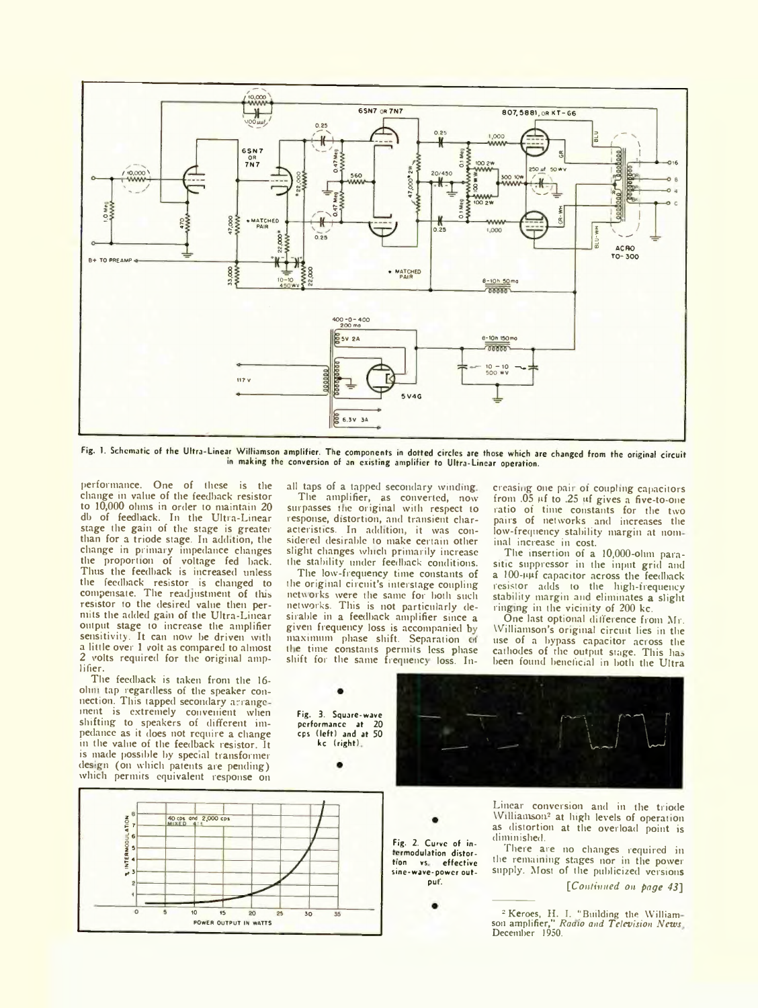

Fig. 1. Schematic of the Ultra-Linear Williamson amplifier. The components in dotted circles are those which are changed from the original circuit in making the conversion of an existing amplifier to Ultra-Linear operation.

performance. One of these is the change in value of the feedback resistor to 10,000 ohms in order to maintain 20 db of feedback. In the Ultra-Linear stage the gain of the stage is greater than for a triode stage. In addition, the change in primary impedance changes the proportion of voltage fed back. Thus the feedback is increased unless the feedback resistor is changed to compensate. The readjustment of tins resistor to the desired value then permits the added gain of the Ultra-Linear output stage to increase the amplifier sensitivity. It can now be driven with a little over 1 volt as compared to almost 2 volts required for the original amplifier.

The feedback is taken from the 16 olim tap regardless of the speaker connection. This tapped secondary arrange ment is extremely convenient when shifting to speakers of different impedance as it does not require a change in the value of the feedback resistor. It is made possible by special transformer design (on which patents are pending) which permits equivalent response on

40 cps and 2,000 cps  $\overline{\phantom{a}}$  $\circ$  $\overline{\mathbf{R}}$  $\overline{\mathbf{1}}$  $\overline{\alpha}$ 30 POWER OUTPUT IN WATTS

all taps of a tapped secondary winding The amplifier, as converted, now surpasses the original with respect to response, distortion, and transient characteristics. In addition, it was considered desirable to make certain other slight changes which primarily increase the stability under feedback conditions.

The low-frequency time constants of the original circuit's interstage coupling networks were the same for both such networks. This is not particularly desirable in a feedback amplifier since a given frequency loss is accompanied by maximum phase shift. Separation of the time constants permits less phase shift for the same frequency loss. In-

> Fig. 2. Curve of in termodulation distortion vs effective sine-wave-power output'.

creasing one paii of coupling capacitors from  $.05 \mu f$  to  $.25 \mu f$  gives a five-to-one ratio of time constants for the two pairs of networks and increases the low-frequency stability margin at nominal increase in cost.

The insertion of a 10,000-ohm parasitic suppressor in the input grid and a 100-uuf capacitor across the feedback resistor adds to the high-frequency stability margin and eliminates a slight ringing in the vicinity of 200 kc.

One last optional difference from Mr. Williamson's original circuit lies in the use of a bypass capacitor across the cathodes of the output stage. This has been found beneficial in both the Ultra

Fig. 3. Square-wave performance at 20 cps (left) and at 50 kc (right)



Linear conversion and in the triode Williamson<sup>2</sup> at high levels of operation as distortion at the overload point is diminished.

There are no changes required in the remaining stages nor in the power supply. Most of the publicized versions *[Cototiimed on page* 45]

<sup>2</sup> Keroes, H. I. "Building the William-<br>son amplifier," *Raaio and Television News*<br>December 1950.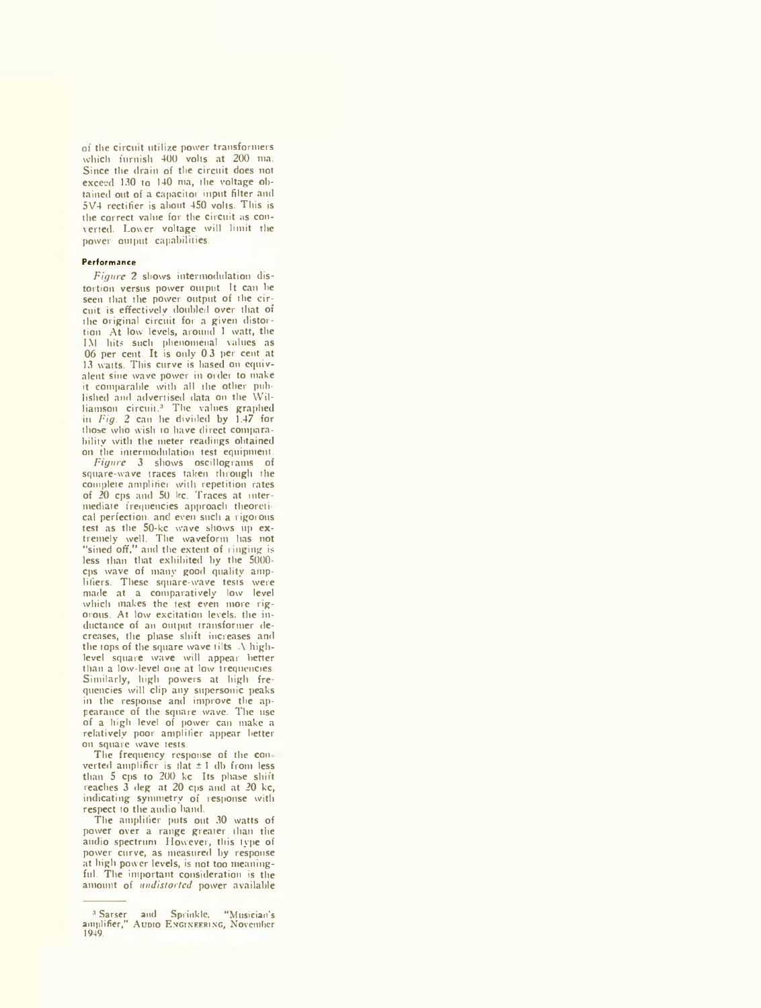of the circuit utilize power transformers which furnish 400 volts at 200 ma. Since the drain of the circuit does not exceed 130 to 140 ma, the voltage obtained out of a capacitor input filter and 5V4 rectifier is about 450 volts. This is the correct value for the circuit as converted. Lower voltage will limit the power output capabilities.

## **Performance**

*Figure 2* shows interniodulation distortion versus power output. It can he seen that the power output of the circuit is effectively doubled over that of the original circuit for a given distortion. At low levels, around 1 watt, the TM hits such phenomenal values as .06 per cent. It is only 0.3 per cent at 13 watts. This curve is based on equivalent sine wave power in order to make it comparable with all the other published and advertised data on the Williamson circuit.<sup>3</sup> The values graphed in *Fig. 2* can he divided by 1.47 for those who wish to have direct comparability with the meter readings obtained on the intermodulation test equipment.

*Figure* 3 shows oscillograms of square-wave traces taken through the complete amplifier with repetition rates of 20 cps and 50 kc. Traces at intermediate frequencies approach theoretical perfection, and even such a rigorous test as the 50-kc wave shows up extremely well. The waveform has not "sined off," and the extent of ringing is less than that exhibited by the 5000 cps wave of many good quality amplifiers. These square-wave tests were made at a comparatively low level which makes the test even more rigorous. At low excitation levels, the inductance of an output transformer decreases, the phase shift increases and the tops of the square wave tilts. A highlevel square wave will appear better than a low-level one at low irequencies. Similarly, high powers at high frequencies will clip any supersonic peaks in the response and improve the ap-pearance of the square wave. The use of a high level of power can make a relatively poor amplifier appear better on square wave tests.

The frequency response of the con verted amplifier is that  $\pm 1$  db from less than 5 cps to 200 kc. Its phase shift reaches 3 deg. at 20 cps and at 20 kc, indicating symmetry of response with respect to the audio hand.

The amplifier puts out 30 watts of power over a range greater than the audio spectrum. However, this type of power curve, as measured by response at high power levels, is not too meaningful. The important consideration is the amount of *midistortcd* power available

<sup>3</sup> Sarser and Sprinkle, "Musician's amplifier," Audio E ngineering, November 1949.